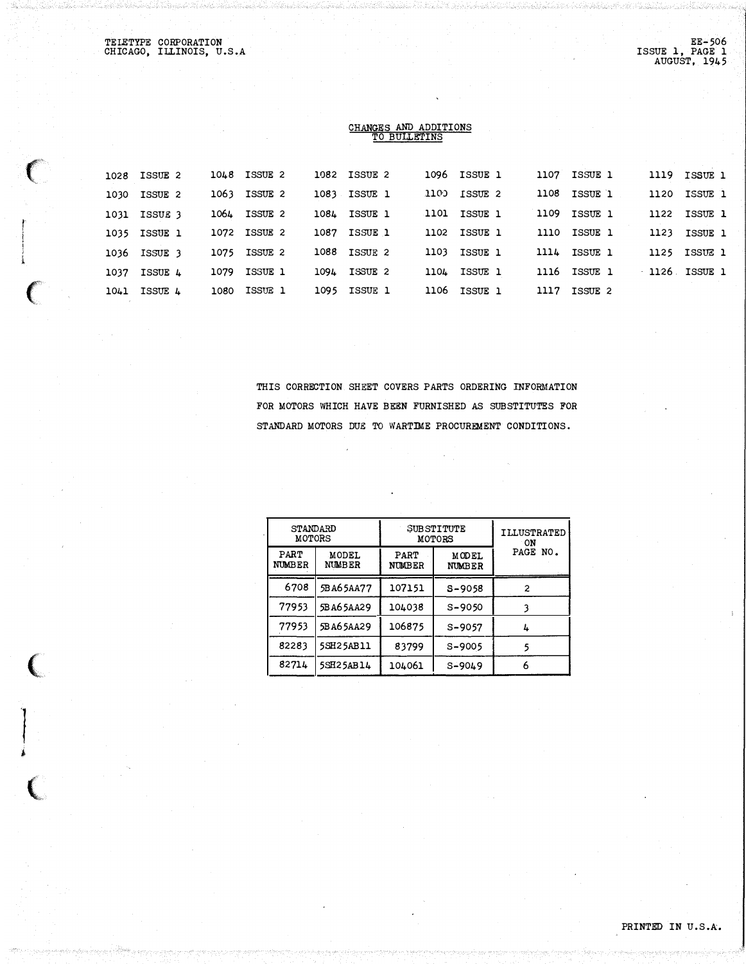TELETYPE CORPORATION CHICAGO, ILLINOIS, U.S.A

 $\left($ 

 $\overline{C}$ 

 $\sqrt{2}$ 

'!

�

 $\big($ 

## CHANGES AND ADDITIONS TO BULLETINS

| 1108 ISSUE 1<br>1100 ISSUE 2<br>1063 ISSUE 2<br>1083 ISSUE 1<br>1120 ISSUE 1<br>1030 ISSUE 2<br>1101 ISSUE 1<br>1109 ISSUE 1<br>1064 ISSUE 2<br>1084 ISSUE 1<br>1122 ISSUE 1<br>1031 ISSUE 3<br>1102 ISSUE 1<br>1087 ISSUE 1<br>1110 ISSUE 1<br>1123 ISSUE 1<br>1072 ISSUE 2<br>1035 ISSUE 1<br>1075 ISSUE 2<br><b>1088 ISSUE 2</b><br>1103 ISSUE 1<br>1114 ISSUE 1<br>1125 ISSUE 1<br>1036 ISSUE 3<br>1126 ISSUE 1<br>1116 ISSUE 1<br>1104 ISSUE 1<br>1079 ISSUE 1<br>1094 ISSUE 2<br>1037 ISSUE 4<br>1106 ISSUE 1<br>ISSUE 1<br>1095 ISSUE 1<br>1117 ISSUE 2<br>1080<br>1041 ISSUE 4 |  | 1028 ISSUE 2 | 1048 ISSUE 2 | 1082 ISSUE 2 | 1096 ISSUE 1 | 1107 ISSUE 1 | 1119 ISSUE 1 |
|----------------------------------------------------------------------------------------------------------------------------------------------------------------------------------------------------------------------------------------------------------------------------------------------------------------------------------------------------------------------------------------------------------------------------------------------------------------------------------------------------------------------------------------------------------------------------------------|--|--------------|--------------|--------------|--------------|--------------|--------------|
|                                                                                                                                                                                                                                                                                                                                                                                                                                                                                                                                                                                        |  |              |              |              |              |              |              |
|                                                                                                                                                                                                                                                                                                                                                                                                                                                                                                                                                                                        |  |              |              |              |              |              |              |
|                                                                                                                                                                                                                                                                                                                                                                                                                                                                                                                                                                                        |  |              |              |              |              |              |              |
|                                                                                                                                                                                                                                                                                                                                                                                                                                                                                                                                                                                        |  |              |              |              |              |              |              |
|                                                                                                                                                                                                                                                                                                                                                                                                                                                                                                                                                                                        |  |              |              |              |              |              |              |
|                                                                                                                                                                                                                                                                                                                                                                                                                                                                                                                                                                                        |  |              |              |              |              |              |              |

THIS CORRECTION SHEET COVERS PARTS ORDERING INFORMATION FOR MOTORS WHICH HAVE BEEN FURNISHED AS SUBSTITUTES FOR STANDARD MOTORS DUE TO WARTIME PROCUREMENT CONDITIONS.

| <b>STANDARD</b><br><b>MOTORS</b> |                        |                       | SUBSTITUTE<br><b>MOTORS</b> | <b>ILLUSTRATED</b><br>ON<br>PAGE<br>NO. |  |
|----------------------------------|------------------------|-----------------------|-----------------------------|-----------------------------------------|--|
| PART<br><b>NUMBER</b>            | MODEL<br><b>NUMBER</b> | PART<br><b>NUMBER</b> | MODEL<br><b>NUMBER</b>      |                                         |  |
| 6708                             | 5BA65AA77              | 107151                | S-9058                      | 2                                       |  |
| 77953                            | 5BA65AA29              | 104038                | $S - 9050$                  |                                         |  |
| 77953                            | 5BA65AA29              | 106875                | $S - 9057$                  | 4                                       |  |
| 82283                            | <b>5SH25AB11</b>       | 83799                 | $S - 9005$                  |                                         |  |
| 82714                            | 5SH25AB14              | 104061                | $S - 9049$                  | 6                                       |  |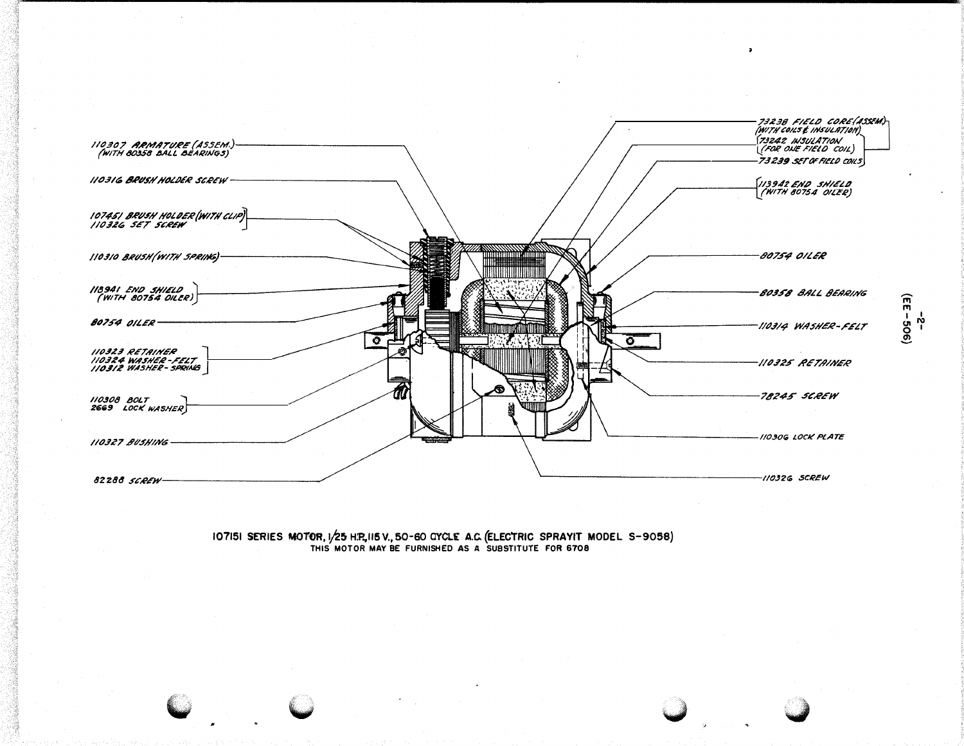

107151 SERIES MOTOR, 1/25 H.P., 115 V., 50-60 CYCLE A.C. (ELECTRIC SPRAYIT MODEL S-9058) THIS MOTOR MAY BE FURNISHED AS A SUBSTITUTE FOR 6708



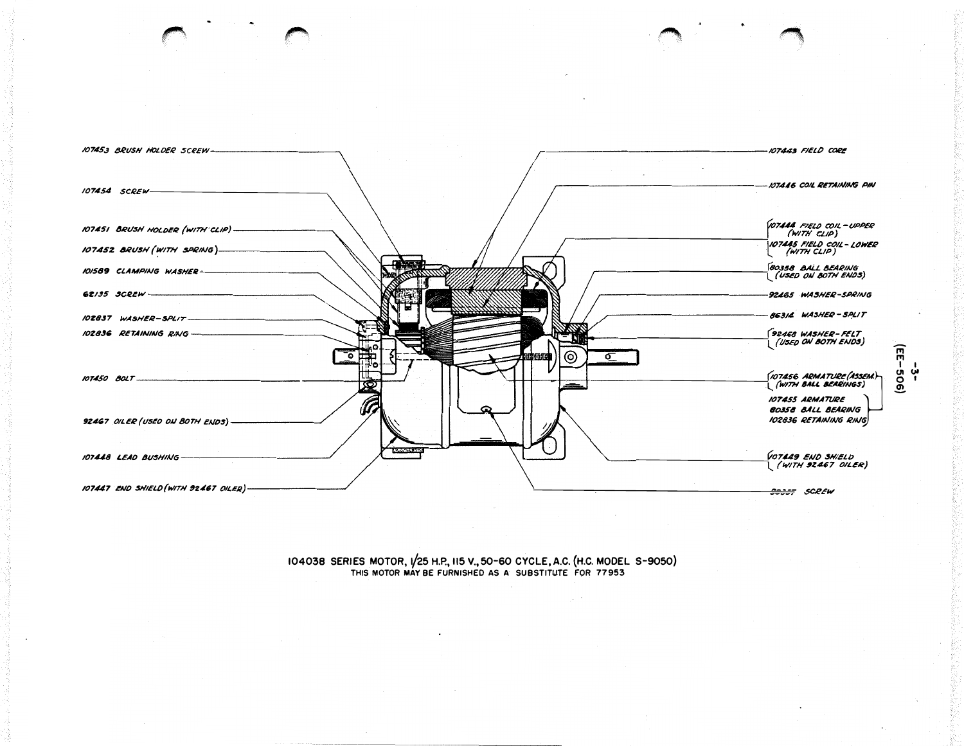

104038 SERIES MOTOR, 1/25 H.P., 115 V., 50-60 CYCLE, A.C. (H.C. MODEL S-9050)<br>THIS MOTOR MAY BE FURNISHED AS A SUBSTITUTE FOR 77953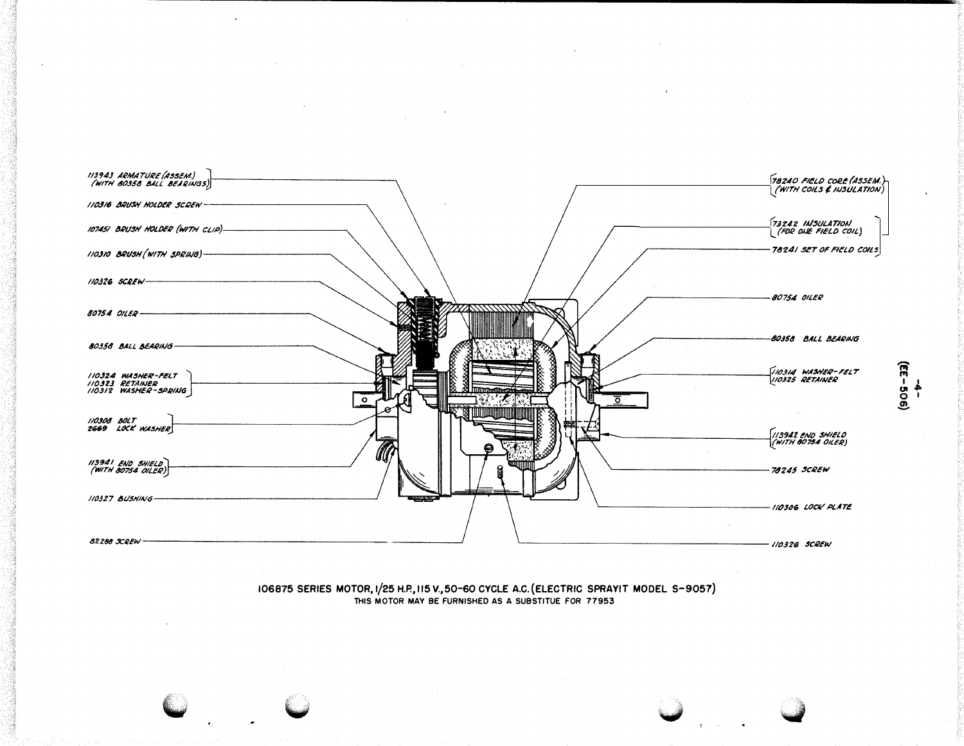

106875 SERIES MOTOR, 1/25 H.P., 115 V., 50-60 CYCLE A.C. (ELECTRIC SPRAYIT MODEL S-9057)<br>THIS MOTOR MAY BE FURNISHED AS A SUBSTITUE FOR 77953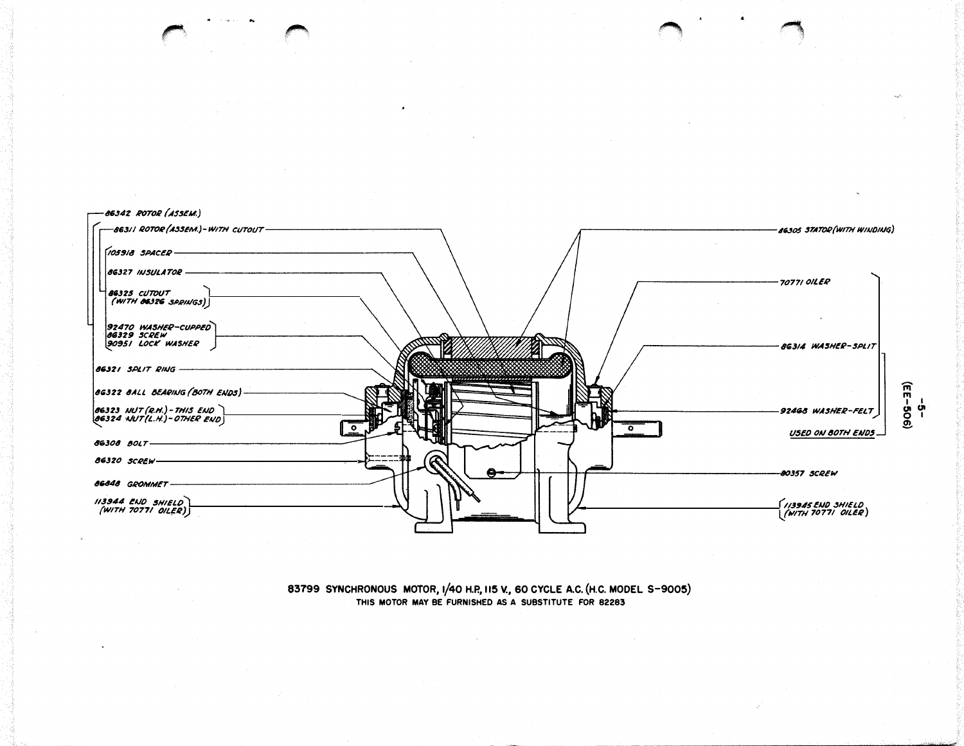

83799 SYNCHRONOUS MOTOR, 1/40 H.P., 115 V., 60 CYCLE A.C. (H.C. MODEL S-9005) THIS MOTOR MAY BE FURNISHED AS A SUBSTITUTE FOR 82283